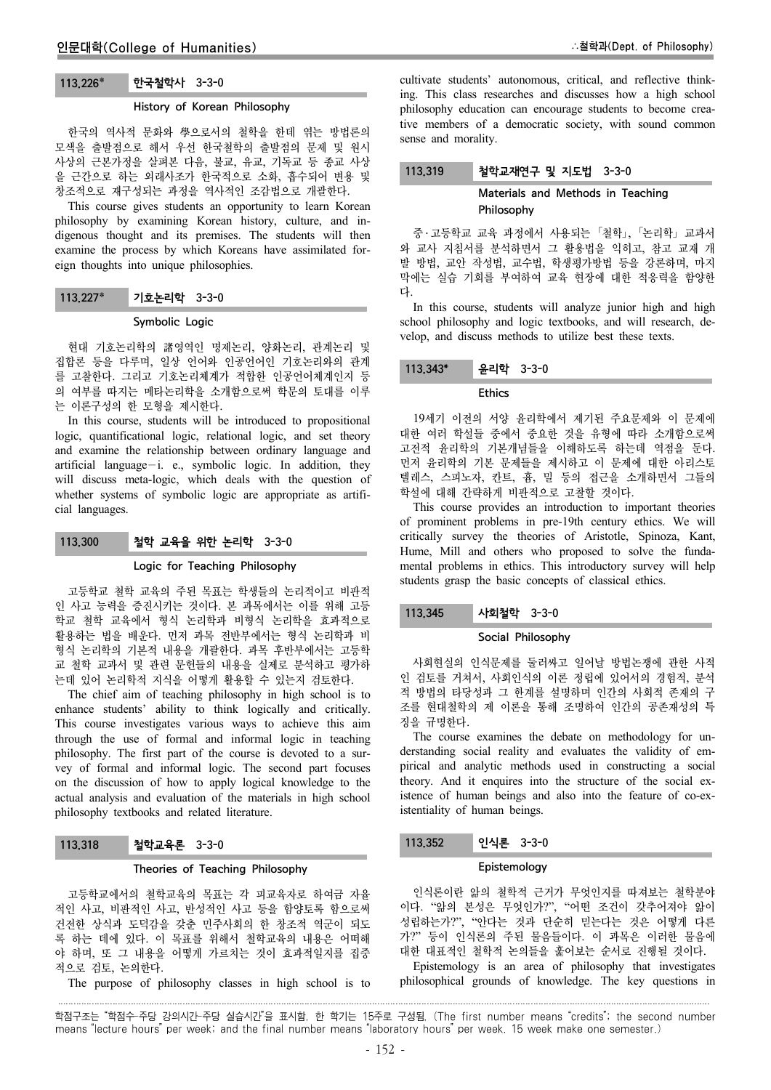# 113.226 한국철학사 3-3-0

#### History of Korean Philosophy

한국의 역사적 문화와 學으로서의 철학을 한데 엮는 방법론의 모색을 출발점으로 해서 우선 한국철학의 출발점의 문제 및 원시 사상의 근본가정을 살펴본 다음, 불교, 유교, 기독교 등 종교 사상 을 근간으로 하는 외래사조가 한국적으로 소화, 흡수되어 변용 및 창조적으로 재구성되는 과정을 역사적인 조감법으로 개괄한다.

This course gives students an opportunity to learn Korean philosophy by examining Korean history, culture, and indigenous thought and its premises. The students will then examine the process by which Koreans have assimilated foreign thoughts into unique philosophies.

#### 113.227 기호논리학 3-3-0

#### Symbolic Logic

현대 기호논리학의 諸영역인 명제논리, 양화논리, 관계논리 및 집합론 등을 다루며, 일상 언어와 인공언어인 기호논리와의 관계 를 고찰한다. 그리고 기호논리체계가 적합한 인공언어체계인지 등 의 여부를 따지는 메타논리학을 소개함으로써 학문의 토대를 이루 는 이론구성의 한 모형을 제시한다.

In this course, students will be introduced to propositional logic, quantificational logic, relational logic, and set theory and examine the relationship between ordinary language and artificial language-i. e., symbolic logic. In addition, they will discuss meta-logic, which deals with the question of whether systems of symbolic logic are appropriate as artificial languages.

#### 113.300 철학 교육을 위한 논리학 3-3-0

#### Logic for Teaching Philosophy

고등학교 철학 교육의 주된 목표는 학생들의 논리적이고 비판적 인 사고 능력을 증진시키는 것이다. 본 과목에서는 이를 위해 고등 학교 철학 교육에서 형식 논리학과 비형식 논리학을 효과적으로 활용하는 법을 배운다. 먼저 과목 전반부에서는 형식 논리학과 비 형식 논리학의 기본적 내용을 개괄한다. 과목 후반부에서는 고등학 교 철학 교과서 및 관련 문헌들의 내용을 실제로 분석하고 평가하 는데 있어 논리학적 지식을 어떻게 활용할 수 있는지 검토한다.

The chief aim of teaching philosophy in high school is to enhance students' ability to think logically and critically. This course investigates various ways to achieve this aim through the use of formal and informal logic in teaching philosophy. The first part of the course is devoted to a survey of formal and informal logic. The second part focuses on the discussion of how to apply logical knowledge to the actual analysis and evaluation of the materials in high school philosophy textbooks and related literature.

#### 113.318 철학교육론 3-3-0

#### Theories of Teaching Philosophy

고등학교에서의 철학교육의 목표는 각 피교육자로 하여금 자율 적인 사고, 비판적인 사고, 반성적인 사고 등을 함양토록 함으로써 건전한 상식과 도덕감을 갖춘 민주사회의 한 창조적 역군이 되도 록 하는 데에 있다. 이 목표를 위해서 철학교육의 내용은 어떠해 야 하며, 또 그 내용을 어떻게 가르치는 것이 효과적일지를 집중 적으로 검토, 논의한다.

The purpose of philosophy classes in high school is to

cultivate students' autonomous, critical, and reflective thinking. This class researches and discusses how a high school philosophy education can encourage students to become creative members of a democratic society, with sound common sense and morality.

#### 113.319 철학교재연구 및 지도법 3-3-0

## Materials and Methods in Teaching Philosophy

중 ․ 고등학교 교육 과정에서 사용되는 「철학」, 「논리학」 교과서 와 교사 지침서를 분석하면서 그 활용법을 익히고, 참고 교재 개 발 방법, 교안 작성법, 교수법, 학생평가방법 등을 강론하며, 마지 막에는 실습 기회를 부여하여 교육 현장에 대한 적응력을 함양한 다.

In this course, students will analyze junior high and high school philosophy and logic textbooks, and will research, develop, and discuss methods to utilize best these texts.

# 113.343\* 윤리학 3-3-0

## Ethics

19세기 이전의 서양 윤리학에서 제기된 주요문제와 이 문제에 대한 여러 학설들 중에서 중요한 것을 유형에 따라 소개함으로써 고전적 윤리학의 기본개념들을 이해하도록 하는데 역점을 둔다. 먼저 윤리학의 기본 문제들을 제시하고 이 문제에 대한 아리스토 텔레스, 스피노자, 칸트, 흄, 밀 등의 접근을 소개하면서 그들의 학설에 대해 간략하게 비판적으로 고찰할 것이다.

This course provides an introduction to important theories of prominent problems in pre-19th century ethics. We will critically survey the theories of Aristotle, Spinoza, Kant, Hume, Mill and others who proposed to solve the fundamental problems in ethics. This introductory survey will help students grasp the basic concepts of classical ethics.

#### 113.345 사회철학 3-3-0

#### Social Philosophy

사회현실의 인식문제를 둘러싸고 일어날 방법논쟁에 관한 사적 인 검토를 거쳐서, 사회인식의 이론 정립에 있어서의 경험적, 분석 적 방법의 타당성과 그 한계를 설명하며 인간의 사회적 존재의 구 조를 현대철학의 제 이론을 통해 조명하여 인간의 공존재성의 특 징을 규명한다.

The course examines the debate on methodology for understanding social reality and evaluates the validity of empirical and analytic methods used in constructing a social theory. And it enquires into the structure of the social existence of human beings and also into the feature of co-existentiality of human beings.

## 113.352 인식론 3-3-0

#### Epistemology

인식론이란 앎의 철학적 근거가 무엇인지를 따져보는 철학분야 이다. "앎의 본성은 무엇인가?", "어떤 조건이 갖추어져야 앎이 성립하는가?", "안다는 것과 단순히 믿는다는 것은 어떻게 다른 가?" 등이 인식론의 주된 물음들이다. 이 과목은 이러한 물음에 대한 대표적인 철학적 논의들을 훑어보는 순서로 진행될 것이다.

Epistemology is an area of philosophy that investigates philosophical grounds of knowledge. The key questions in

학점구조는 "학점수-주당 강의시간-주당 실습시간"을 표시함. 한 학기는 15주로 구성됨. (The first number means "credits"; the second number means "lecture hours" per week; and the final number means "laboratory hours" per week. 15 week make one semester.)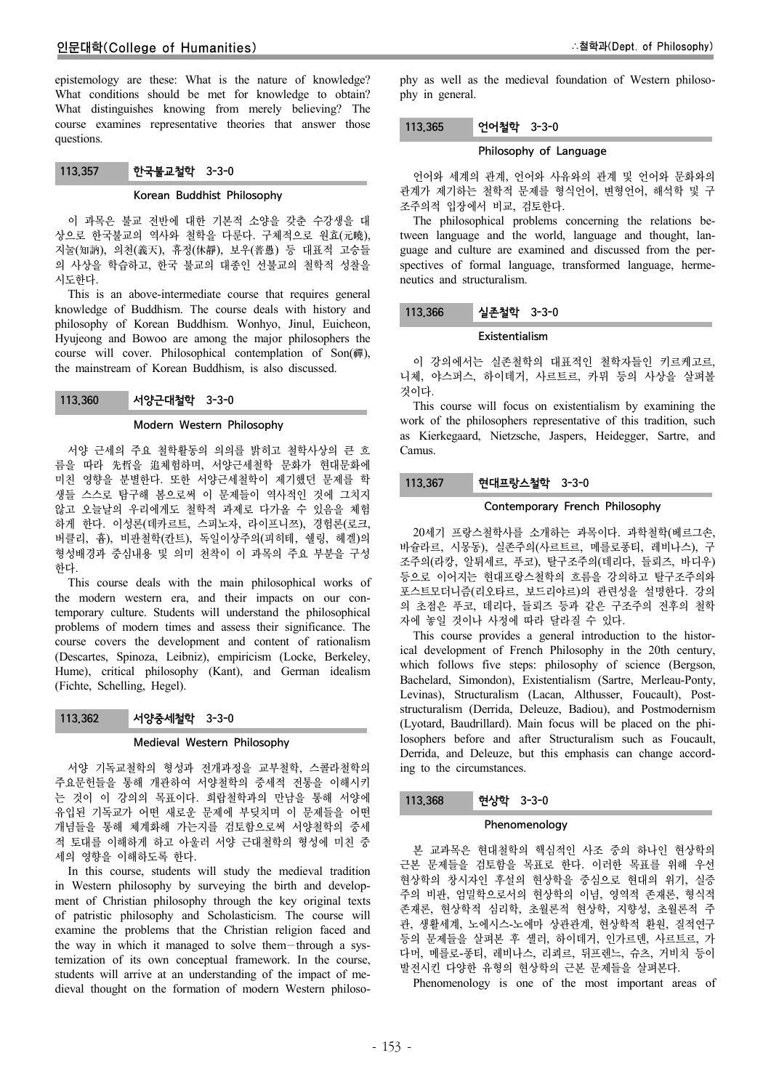epistemology are these: What is the nature of knowledge? What conditions should be met for knowledge to obtain? What distinguishes knowing from merely believing? The course examines representative theories that answer those questions.

# 113.357 한국불교철학 3-3-0

## Korean Buddhist Philosophy

이 과목은 불교 전반에 대한 기본적 소양을 갖춘 수강생을 대 상으로 한국불교의 역사와 철학을 다룬다. 구체적으로 원효(元曉), 지눌(知訥), 의천(義天), 휴정(休靜), 보우(普愚) 등 대표적 고승들 의 사상을 학습하고, 한국 불교의 대종인 선불교의 철학적 성찰을 시도한다.

This is an above-intermediate course that requires general knowledge of Buddhism. The course deals with history and philosophy of Korean Buddhism. Wonhyo, Jinul, Euicheon, Hyujeong and Bowoo are among the major philosophers the course will cover. Philosophical contemplation of Son(禪), the mainstream of Korean Buddhism, is also discussed.

## 113.360 서양근대철학 3-3-0

#### Modern Western Philosophy

서양 근세의 주요 철학활동의 의의를 밝히고 철학사상의 큰 흐 름을 따라 先哲을 追체험하며, 서양근세철학 문화가 현대문화에 미친 영향을 분별한다. 또한 서양근세철학이 제기했던 문제를 학 생들 스스로 탐구해 봄으로써 이 문제들이 역사적인 것에 그치지 않고 오늘날의 우리에게도 철학적 과제로 다가올 수 있음을 체험 하게 한다. 이성론(데카르트, 스피노자, 라이프니쯔), 경험론(로크, 버클리, 흄), 비판철학(칸트), 독일이상주의(피히테, 쉘링, 헤겔)의 형성배경과 중심내용 및 의미 천착이 이 과목의 주요 부분을 구성 한다.

This course deals with the main philosophical works of the modern western era, and their impacts on our contemporary culture. Students will understand the philosophical problems of modern times and assess their significance. The course covers the development and content of rationalism (Descartes, Spinoza, Leibniz), empiricism (Locke, Berkeley, Hume), critical philosophy (Kant), and German idealism (Fichte, Schelling, Hegel).

#### 113.362 서양중세철학 3-3-0

## Medieval Western Philosophy

서양 기독교철학의 형성과 전개과정을 교부철학, 스콜라철학의 주요문헌들을 통해 개관하여 서양철학의 중세적 전통을 이해시키 는 것이 이 강의의 목표이다. 희랍철학과의 만남을 통해 서양에 유입된 기독교가 어떤 새로운 문제에 부딪치며 이 문제들을 어떤 개념들을 통해 체계화해 가는지를 검토함으로써 서양철학의 중세 적 토대를 이해하게 하고 아울러 서양 근대철학의 형성에 미친 중 세의 영향을 이해하도록 한다.

In this course, students will study the medieval tradition in Western philosophy by surveying the birth and development of Christian philosophy through the key original texts of patristic philosophy and Scholasticism. The course will examine the problems that the Christian religion faced and the way in which it managed to solve them-through a systemization of its own conceptual framework. In the course, students will arrive at an understanding of the impact of medieval thought on the formation of modern Western philosophy as well as the medieval foundation of Western philosophy in general.

#### 113.365 언어철학 3-3-0

#### Philosophy of Language

언어와 세계의 관계, 언어와 사유와의 관계 및 언어와 문화와의 관계가 제기하는 철학적 문제를 형식언어, 변형언어, 해석학 및 구 조주의적 입장에서 비교, 검토한다.

The philosophical problems concerning the relations between language and the world, language and thought, language and culture are examined and discussed from the perspectives of formal language, transformed language, hermeneutics and structuralism.

## 113.366 실존철학 3-3-0

#### Existentialism

이 강의에서는 실존철학의 대표적인 철학자들인 키르케고르, 니체, 야스퍼스, 하이데거, 사르트르, 카뮈 등의 사상을 살펴볼 것이다.

This course will focus on existentialism by examining the work of the philosophers representative of this tradition, such as Kierkegaard, Nietzsche, Jaspers, Heidegger, Sartre, and Camus.

## 113.367 현대프랑스철학 3-3-0

#### Contemporary French Philosophy

20세기 프랑스철학사를 소개하는 과목이다. 과학철학(베르그손, 바슐라르, 시몽동), 실존주의(사르트르, 메를로퐁티, 레비나스), 구 조주의(라캉, 알튀세르, 푸코), 탈구조주의(데리다, 들뢰즈, 바디우) 등으로 이어지는 현대프랑스철학의 흐름을 강의하고 탈구조주의와 포스트모더니즘(리오타르, 보드리야르)의 관련성을 설명한다. 강의 의 초점은 푸코, 데리다, 들뢰즈 등과 같은 구조주의 전후의 철학 자에 놓일 것이나 사정에 따라 달라질 수 있다.

This course provides a general introduction to the historical development of French Philosophy in the 20th century, which follows five steps: philosophy of science (Bergson, Bachelard, Simondon), Existentialism (Sartre, Merleau-Ponty, Levinas), Structuralism (Lacan, Althusser, Foucault), Poststructuralism (Derrida, Deleuze, Badiou), and Postmodernism (Lyotard, Baudrillard). Main focus will be placed on the philosophers before and after Structuralism such as Foucault, Derrida, and Deleuze, but this emphasis can change according to the circumstances.

## 113.368 현상학 3-3-0

#### Phenomenology

본 교과목은 현대철학의 핵심적인 사조 중의 하나인 현상학의 근본 문제들을 검토함을 목표로 한다. 이러한 목표를 위해 우선 현상학의 창시자인 후설의 현상학을 중심으로 현대의 위기, 실증 주의 비판, 엄밀학으로서의 현상학의 이념, 영역적 존재론, 형식적 존재론, 현상학적 심리학, 초월론적 현상학, 지향성, 초월론적 주 관, 생활세계, 노에시스-노에마 상관관계, 현상학적 환원, 질적연구 등의 문제들을 살펴본 후 셸러, 하이데거, 인가르덴, 사르트르, 가 다머, 메를로-퐁티, 레비나스, 리쾨르, 뒤프렌느, 슈츠, 거비치 등이 발전시킨 다양한 유형의 현상학의 근본 문제들을 살펴본다.

Phenomenology is one of the most important areas of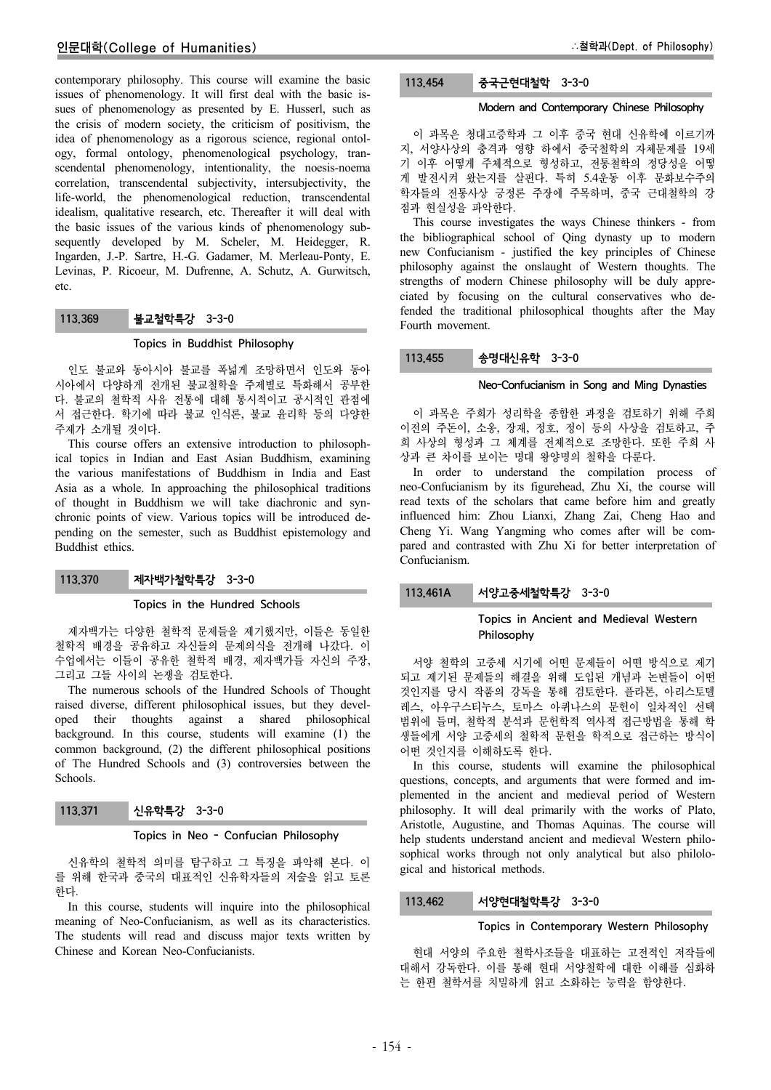contemporary philosophy. This course will examine the basic issues of phenomenology. It will first deal with the basic issues of phenomenology as presented by E. Husserl, such as the crisis of modern society, the criticism of positivism, the idea of phenomenology as a rigorous science, regional ontology, formal ontology, phenomenological psychology, transcendental phenomenology, intentionality, the noesis-noema correlation, transcendental subjectivity, intersubjectivity, the life-world, the phenomenological reduction, transcendental idealism, qualitative research, etc. Thereafter it will deal with the basic issues of the various kinds of phenomenology subsequently developed by M. Scheler, M. Heidegger, R. Ingarden, J.-P. Sartre, H.-G. Gadamer, M. Merleau-Ponty, E. Levinas, P. Ricoeur, M. Dufrenne, A. Schutz, A. Gurwitsch, etc.

# 113.369 불교철학특강 3-3-0

## Topics in Buddhist Philosophy

인도 불교와 동아시아 불교를 폭넓게 조망하면서 인도와 동아 시아에서 다양하게 전개된 불교철학을 주제별로 특화해서 공부한 다. 불교의 철학적 사유 전통에 대해 통시적이고 공시적인 관점에 서 접근한다. 학기에 따라 불교 인식론, 불교 윤리학 등의 다양한 주제가 소개될 것이다.

This course offers an extensive introduction to philosophical topics in Indian and East Asian Buddhism, examining the various manifestations of Buddhism in India and East Asia as a whole. In approaching the philosophical traditions of thought in Buddhism we will take diachronic and synchronic points of view. Various topics will be introduced depending on the semester, such as Buddhist epistemology and Buddhist ethics.

## 113.370 제자백가철학특강 3-3-0

#### Topics in the Hundred Schools

제자백가는 다양한 철학적 문제들을 제기했지만, 이들은 동일한 철학적 배경을 공유하고 자신들의 문제의식을 전개해 나갔다. 이 수업에서는 이들이 공유한 철학적 배경, 제자백가들 자신의 주장, 그리고 그들 사이의 논쟁을 검토한다.

The numerous schools of the Hundred Schools of Thought raised diverse, different philosophical issues, but they developed their thoughts against a shared philosophical background. In this course, students will examine (1) the common background, (2) the different philosophical positions of The Hundred Schools and (3) controversies between the Schools.

113.371 신유학특강 3-3-0

#### Topics in Neo - Confucian Philosophy

신유학의 철학적 의미를 탐구하고 그 특징을 파악해 본다. 이 를 위해 한국과 중국의 대표적인 신유학자들의 저술을 읽고 토론 한다.

In this course, students will inquire into the philosophical meaning of Neo-Confucianism, as well as its characteristics. The students will read and discuss major texts written by Chinese and Korean Neo-Confucianists.

## 113.454 중국근현대철학 3-3-0

## Modern and Contemporary Chinese Philosophy

이 과목은 청대고증학과 그 이후 중국 현대 신유학에 이르기까 지, 서양사상의 충격과 영향 하에서 중국철학의 자체문제를 19세 기 이후 어떻게 주체적으로 형성하고, 전통철학의 정당성을 어떻 게 발전시켜 왔는지를 살핀다. 특히 5.4운동 이후 문화보수주의 학자들의 전통사상 긍정론 주장에 주목하며, 중국 근대철학의 강 점과 현실성을 파악한다.

This course investigates the ways Chinese thinkers - from the bibliographical school of Qing dynasty up to modern new Confucianism - justified the key principles of Chinese philosophy against the onslaught of Western thoughts. The strengths of modern Chinese philosophy will be duly appreciated by focusing on the cultural conservatives who defended the traditional philosophical thoughts after the May Fourth movement.

# 113.455 송명대신유학 3-3-0

#### Neo-Confucianism in Song and Ming Dynasties

이 과목은 주희가 성리학을 종합한 과정을 검토하기 위해 주희 이전의 주돈이, 소옹, 장재, 정호, 정이 등의 사상을 검토하고, 주 희 사상의 형성과 그 체계를 전체적으로 조망한다. 또한 주희 사 상과 큰 차이를 보이는 명대 왕양명의 철학을 다룬다.

In order to understand the compilation process of neo-Confucianism by its figurehead, Zhu Xi, the course will read texts of the scholars that came before him and greatly influenced him: Zhou Lianxi, Zhang Zai, Cheng Hao and Cheng Yi. Wang Yangming who comes after will be compared and contrasted with Zhu Xi for better interpretation of Confucianism.

## 113.461A 서양고중세철학특강 3-3-0

## Topics in Ancient and Medieval Western Philosophy

서양 철학의 고중세 시기에 어떤 문제들이 어떤 방식으로 제기 되고 제기된 문제들의 해결을 위해 도입된 개념과 논변들이 어떤 것인지를 당시 작품의 강독을 통해 검토한다. 플라톤, 아리스토텔 레스, 아우구스티누스, 토마스 아퀴나스의 문헌이 일차적인 선택 범위에 들며, 철학적 분석과 문헌학적 역사적 접근방법을 통해 학 생들에게 서양 고중세의 철학적 문헌을 학적으로 접근하는 방식이 어떤 것인지를 이해하도록 한다.

In this course, students will examine the philosophical questions, concepts, and arguments that were formed and implemented in the ancient and medieval period of Western philosophy. It will deal primarily with the works of Plato, Aristotle, Augustine, and Thomas Aquinas. The course will help students understand ancient and medieval Western philosophical works through not only analytical but also philological and historical methods.

## 113.462 서양현대철학특강 3-3-0

#### Topics in Contemporary Western Philosophy

현대 서양의 주요한 철학사조들을 대표하는 고전적인 저작들에 대해서 강독한다. 이를 통해 현대 서양철학에 대한 이해를 심화하 는 한편 철학서를 치밀하게 읽고 소화하는 능력을 함양한다.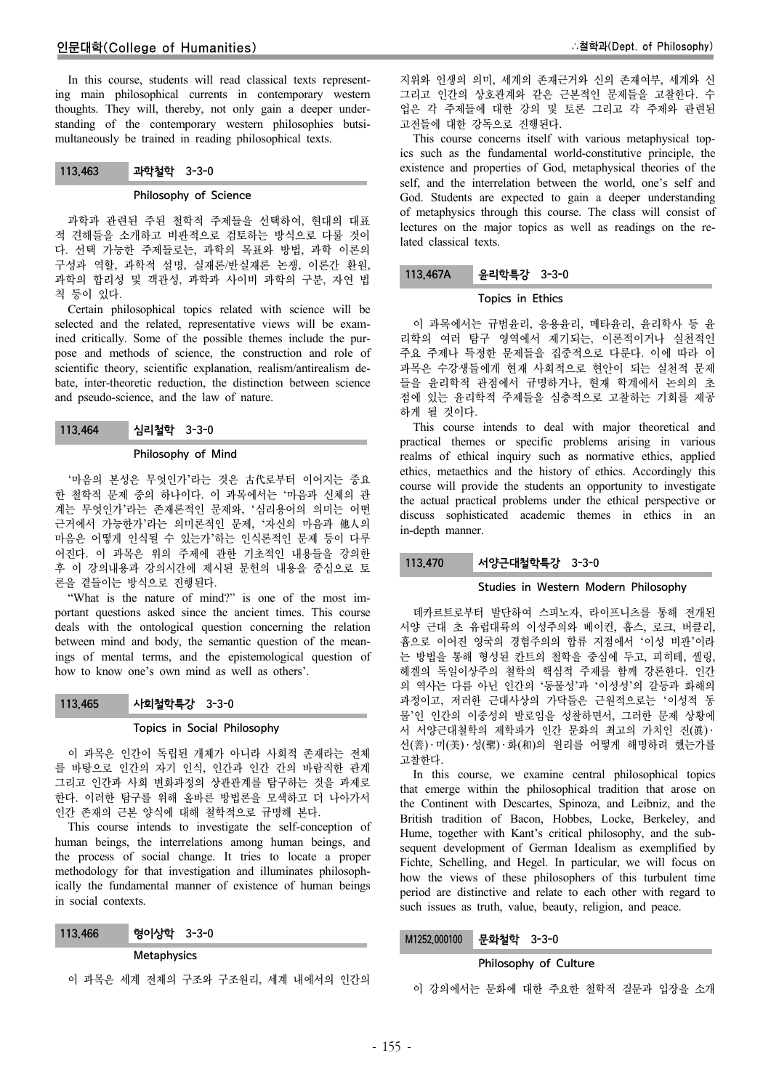In this course, students will read classical texts representing main philosophical currents in contemporary western thoughts. They will, thereby, not only gain a deeper understanding of the contemporary western philosophies butsimultaneously be trained in reading philosophical texts.

# 113.463 과학철학 3-3-0

#### Philosophy of Science

과학과 관련된 주된 철학적 주제들을 선택하여, 현대의 대표 적 견해들을 소개하고 비판적으로 검토하는 방식으로 다룰 것이 다. 선택 가능한 주제들로는, 과학의 목표와 방법, 과학 이론의 구성과 역할, 과학적 설명, 실재론/반실재론 논쟁, 이론간 환원, 과학의 합리성 및 객관성, 과학과 사이비 과학의 구분, 자연 법 칙 등이 있다.

Certain philosophical topics related with science will be selected and the related, representative views will be examined critically. Some of the possible themes include the purpose and methods of science, the construction and role of scientific theory, scientific explanation, realism/antirealism debate, inter-theoretic reduction, the distinction between science and pseudo-science, and the law of nature.

113.464 심리철학 3-3-0

#### Philosophy of Mind

'마음의 본성은 무엇인가'라는 것은 古代로부터 이어지는 중요 한 철학적 문제 중의 하나이다. 이 과목에서는 '마음과 신체의 관 계는 무엇인가'라는 존재론적인 문제와, '심리용어의 의미는 어떤 근거에서 가능한가'라는 의미론적인 문제, '자신의 마음과 他人의 마음은 어떻게 인식될 수 있는가'하는 인식론적인 문제 등이 다루 어진다. 이 과목은 위의 주제에 관한 기초적인 내용들을 강의한 후 이 강의내용과 강의시간에 제시된 문헌의 내용을 중심으로 토 론을 곁들이는 방식으로 진행된다.

"What is the nature of mind?" is one of the most important questions asked since the ancient times. This course deals with the ontological question concerning the relation between mind and body, the semantic question of the meanings of mental terms, and the epistemological question of how to know one's own mind as well as others'.

## 113.465 사회철학특강 3-3-0

## Topics in Social Philosophy

이 과목은 인간이 독립된 개체가 아니라 사회적 존재라는 전체 를 바탕으로 인간의 자기 인식, 인간과 인간 간의 바람직한 관계 그리고 인간과 사회 변화과정의 상관관계를 탐구하는 것을 과제로 한다. 이러한 탐구를 위해 올바른 방법론을 모색하고 더 나아가서 인간 존재의 근본 양식에 대해 철학적으로 규명해 본다.

This course intends to investigate the self-conception of human beings, the interrelations among human beings, and the process of social change. It tries to locate a proper methodology for that investigation and illuminates philosophically the fundamental manner of existence of human beings in social contexts.

113.466 형이상학 3-3-0

## Metaphysics

이 과목은 세계 전체의 구조와 구조원리, 세계 내에서의 인간의

지위와 인생의 의미, 세계의 존재근거와 신의 존재여부, 세계와 신 그리고 인간의 상호관계와 같은 근본적인 문제들을 고찰한다. 수 업은 각 주제들에 대한 강의 및 토론 그리고 각 주제와 관련된 고전들에 대한 강독으로 진행된다.

This course concerns itself with various metaphysical topics such as the fundamental world-constitutive principle, the existence and properties of God, metaphysical theories of the self, and the interrelation between the world, one's self and God. Students are expected to gain a deeper understanding of metaphysics through this course. The class will consist of lectures on the major topics as well as readings on the related classical texts.

## 113.467A 윤리학특강 3-3-0

#### Topics in Ethics

이 과목에서는 규범윤리, 응용윤리, 메타윤리, 윤리학사 등 윤 리학의 여러 탐구 영역에서 제기되는, 이론적이거나 실천적인 주요 주제나 특정한 문제들을 집중적으로 다룬다. 이에 따라 이 과목은 수강생들에게 현재 사회적으로 현안이 되는 실천적 문제 들을 윤리학적 관점에서 규명하거나, 현재 학계에서 논의의 초 점에 있는 윤리학적 주제들을 심층적으로 고찰하는 기회를 제공 하게 될 것이다.

This course intends to deal with major theoretical and practical themes or specific problems arising in various realms of ethical inquiry such as normative ethics, applied ethics, metaethics and the history of ethics. Accordingly this course will provide the students an opportunity to investigate the actual practical problems under the ethical perspective or discuss sophisticated academic themes in ethics in an in-depth manner.

## 113.470 서양근대철학특강 3-3-0

## Studies in Western Modern Philosophy

데카르트로부터 발단하여 스피노자, 라이프니츠를 통해 전개된 서양 근대 초 유럽대륙의 이성주의와 베이컨, 홉스, 로크, 버클리, 흄으로 이어진 영국의 경험주의의 합류 지점에서 '이성 비판'이라 는 방법을 통해 형성된 칸트의 철학을 중심에 두고, 피히테, 셸링, 헤겔의 독일이상주의 철학의 핵심적 주제를 함께 강론한다. 인간 의 역사는 다름 아닌 인간의 '동물성'과 '이성성'의 갈등과 화해의 과정이고, 저러한 근대사상의 가닥들은 근원적으로는 '이성적 동 물'인 인간의 이중성의 발로임을 성찰하면서, 그러한 문제 상황에 서 서양근대철학의 제학파가 인간 문화의 최고의 가치인 진(眞) · 선(善) ․ 미(美) ․ 성(聖) ․ 화(和)의 원리를 어떻게 해명하려 했는가를 고찰한다.

In this course, we examine central philosophical topics that emerge within the philosophical tradition that arose on the Continent with Descartes, Spinoza, and Leibniz, and the British tradition of Bacon, Hobbes, Locke, Berkeley, and Hume, together with Kant's critical philosophy, and the subsequent development of German Idealism as exemplified by Fichte, Schelling, and Hegel. In particular, we will focus on how the views of these philosophers of this turbulent time period are distinctive and relate to each other with regard to such issues as truth, value, beauty, religion, and peace.

# M1252.000100 문화철학 3-3-0

#### Philosophy of Culture

이 강의에서는 문화에 대한 주요한 철학적 질문과 입장을 소개